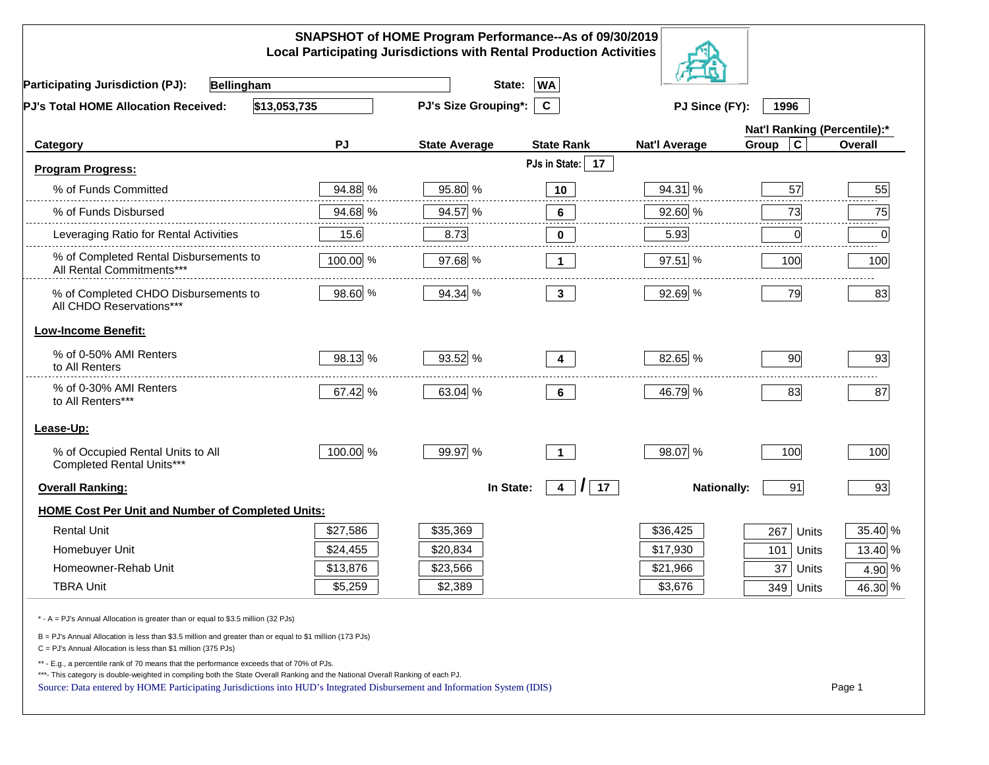| SNAPSHOT of HOME Program Performance--As of 09/30/2019<br><b>Local Participating Jurisdictions with Rental Production Activities</b>                                                                                                                                                                                                                               |          |                      |                                        |                      |                              |         |  |
|--------------------------------------------------------------------------------------------------------------------------------------------------------------------------------------------------------------------------------------------------------------------------------------------------------------------------------------------------------------------|----------|----------------------|----------------------------------------|----------------------|------------------------------|---------|--|
| <b>Participating Jurisdiction (PJ):</b><br><b>Bellingham</b>                                                                                                                                                                                                                                                                                                       |          | State:               | <b>WA</b>                              |                      |                              |         |  |
| \$13,053,735<br>PJ's Total HOME Allocation Received:                                                                                                                                                                                                                                                                                                               |          | PJ's Size Grouping*: | $\mathbf{C}$                           | PJ Since (FY):       | 1996                         |         |  |
|                                                                                                                                                                                                                                                                                                                                                                    |          |                      |                                        |                      | Nat'l Ranking (Percentile):* |         |  |
| Category                                                                                                                                                                                                                                                                                                                                                           | PJ       | <b>State Average</b> | <b>State Rank</b>                      | <b>Nat'l Average</b> | $\mathbf c$<br>Group         | Overall |  |
| <b>Program Progress:</b>                                                                                                                                                                                                                                                                                                                                           |          |                      | PJs in State: 17                       |                      |                              |         |  |
| % of Funds Committed                                                                                                                                                                                                                                                                                                                                               | 94.88 %  | 95.80 %              | 10                                     | 94.31 %              | 57                           | 55      |  |
| % of Funds Disbursed                                                                                                                                                                                                                                                                                                                                               | 94.68 %  | 94.57 %              | 6                                      | 92.60 %              | 73                           | 75      |  |
| Leveraging Ratio for Rental Activities                                                                                                                                                                                                                                                                                                                             | 15.6     | 8.73                 | 0                                      | 5.93                 | 0                            | .<br>0  |  |
| % of Completed Rental Disbursements to<br>All Rental Commitments***                                                                                                                                                                                                                                                                                                | 100.00 % | 97.68 %              | $\blacktriangleleft$                   | 97.51 %              | 100                          | 100     |  |
| % of Completed CHDO Disbursements to<br>All CHDO Reservations***                                                                                                                                                                                                                                                                                                   | 98.60 %  | 94.34 %              | $\mathbf{3}$                           | 92.69 %              | 79                           | 83      |  |
| <b>Low-Income Benefit:</b>                                                                                                                                                                                                                                                                                                                                         |          |                      |                                        |                      |                              |         |  |
| % of 0-50% AMI Renters<br>to All Renters                                                                                                                                                                                                                                                                                                                           | 98.13 %  | 93.52 %              | 4                                      | 82.65 %              | 90                           | 93      |  |
| % of 0-30% AMI Renters<br>to All Renters***                                                                                                                                                                                                                                                                                                                        | 67.42 %  | 63.04 %              | 6                                      | 46.79 %              | 83                           | 87      |  |
| Lease-Up:                                                                                                                                                                                                                                                                                                                                                          |          |                      |                                        |                      |                              |         |  |
| % of Occupied Rental Units to All<br>Completed Rental Units***                                                                                                                                                                                                                                                                                                     | 100.00 % | 99.97 %              | $\overline{1}$                         | 98.07 %              | 100                          | 100     |  |
| <b>Overall Ranking:</b>                                                                                                                                                                                                                                                                                                                                            |          | In State:            | 17 <sub>2</sub><br>$\overline{4}$<br>I | <b>Nationally:</b>   | 91                           | 93      |  |
| <b>HOME Cost Per Unit and Number of Completed Units:</b>                                                                                                                                                                                                                                                                                                           |          |                      |                                        |                      |                              |         |  |
| <b>Rental Unit</b>                                                                                                                                                                                                                                                                                                                                                 | \$27,586 | \$35,369             |                                        | \$36,425             | 267<br>Units                 | 35.40 % |  |
| Homebuyer Unit                                                                                                                                                                                                                                                                                                                                                     | \$24,455 | \$20,834             |                                        | \$17,930             | 101<br>Units                 | 13.40 % |  |
| Homeowner-Rehab Unit                                                                                                                                                                                                                                                                                                                                               | \$13,876 | \$23,566             |                                        | \$21,966             | 37<br>Units                  | 4.90 %  |  |
| <b>TBRA Unit</b>                                                                                                                                                                                                                                                                                                                                                   | \$5,259  | \$2,389              |                                        | \$3,676              | 349 Units                    | 46.30 % |  |
| * - A = PJ's Annual Allocation is greater than or equal to \$3.5 million (32 PJs)                                                                                                                                                                                                                                                                                  |          |                      |                                        |                      |                              |         |  |
| B = PJ's Annual Allocation is less than \$3.5 million and greater than or equal to \$1 million (173 PJs)<br>C = PJ's Annual Allocation is less than \$1 million (375 PJs)                                                                                                                                                                                          |          |                      |                                        |                      |                              |         |  |
| ** - E.g., a percentile rank of 70 means that the performance exceeds that of 70% of PJs.<br>***- This category is double-weighted in compiling both the State Overall Ranking and the National Overall Ranking of each PJ.<br>Page 1<br>Source: Data entered by HOME Participating Jurisdictions into HUD's Integrated Disbursement and Information System (IDIS) |          |                      |                                        |                      |                              |         |  |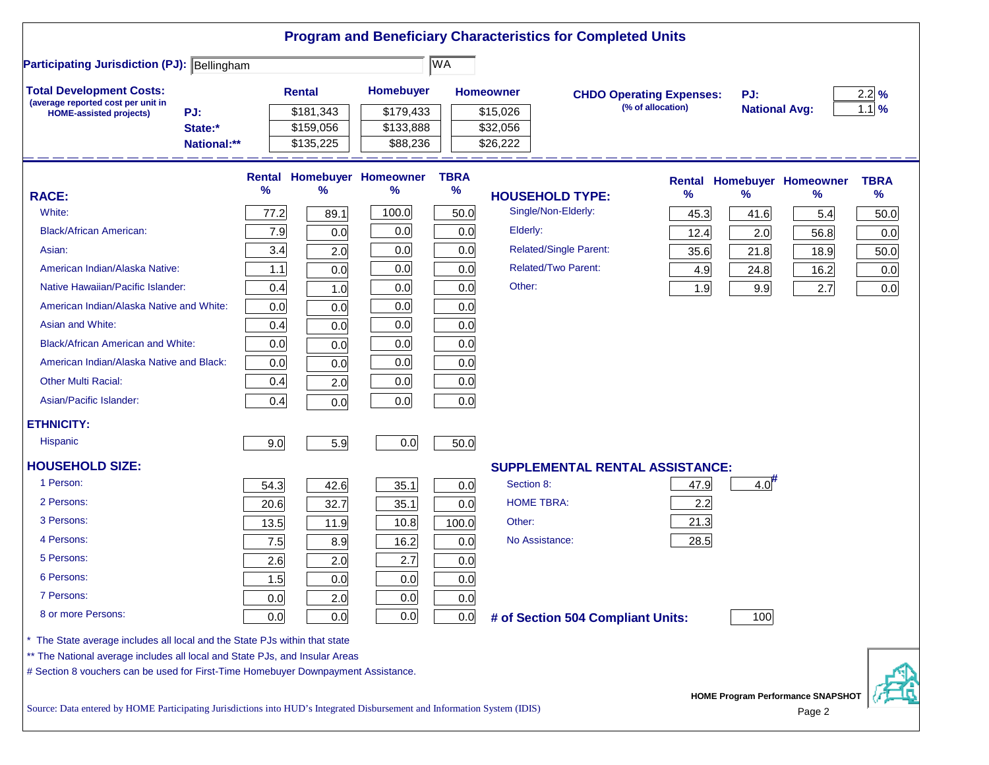|                                                                                   |             |      |               |                            |             |                        | <b>Program and Beneficiary Characteristics for Completed Units</b> |                   |                      |                                          |             |
|-----------------------------------------------------------------------------------|-------------|------|---------------|----------------------------|-------------|------------------------|--------------------------------------------------------------------|-------------------|----------------------|------------------------------------------|-------------|
| <b>Participating Jurisdiction (PJ): Bellingham</b>                                |             |      |               |                            | <b>WA</b>   |                        |                                                                    |                   |                      |                                          |             |
| <b>Total Development Costs:</b>                                                   |             |      | <b>Rental</b> | Homebuyer                  |             | <b>Homeowner</b>       | <b>CHDO Operating Expenses:</b>                                    |                   | PJ:                  |                                          | 2.2%        |
| (average reported cost per unit in<br>PJ:<br><b>HOME-assisted projects)</b>       |             |      | \$181,343     | \$179,433                  |             | \$15,026               |                                                                    | (% of allocation) | <b>National Avg:</b> |                                          | $1.1\%$     |
|                                                                                   | State:*     |      | \$159,056     | \$133,888                  |             | \$32,056               |                                                                    |                   |                      |                                          |             |
|                                                                                   | National:** |      | \$135,225     | \$88,236                   |             | \$26,222               |                                                                    |                   |                      |                                          |             |
|                                                                                   |             |      |               | Rental Homebuyer Homeowner | <b>TBRA</b> |                        |                                                                    |                   |                      | <b>Rental Homebuyer Homeowner</b>        | <b>TBRA</b> |
| <b>RACE:</b>                                                                      |             | %    | ℅             | %                          | $\%$        | <b>HOUSEHOLD TYPE:</b> |                                                                    | %                 | $\%$                 | ℅                                        | $\%$        |
| White:                                                                            |             | 77.2 | 89.1          | 100.0                      | 50.0        | Single/Non-Elderly:    |                                                                    | 45.3              | 41.6                 | 5.4                                      | 50.0        |
| <b>Black/African American:</b>                                                    |             | 7.9  | 0.0           | 0.0                        | 0.0         | Elderly:               |                                                                    | 12.4              | 2.0                  | 56.8                                     | 0.0         |
| Asian:                                                                            |             | 3.4  | 2.0           | 0.0                        | 0.0         |                        | <b>Related/Single Parent:</b>                                      | 35.6              | 21.8                 | 18.9                                     | 50.0        |
| American Indian/Alaska Native:                                                    |             | 1.1  | 0.0           | 0.0                        | 0.0         |                        | <b>Related/Two Parent:</b>                                         | 4.9               | 24.8                 | 16.2                                     | 0.0         |
| Native Hawaiian/Pacific Islander:                                                 |             | 0.4  | 1.0           | 0.0                        | 0.0         | Other:                 |                                                                    | 1.9               | 9.9                  | 2.7                                      | 0.0         |
| American Indian/Alaska Native and White:                                          |             | 0.0  | 0.0           | 0.0                        | 0.0         |                        |                                                                    |                   |                      |                                          |             |
| Asian and White:                                                                  |             | 0.4  | 0.0           | 0.0                        | 0.0         |                        |                                                                    |                   |                      |                                          |             |
| <b>Black/African American and White:</b>                                          |             | 0.0  | 0.0           | 0.0                        | 0.0         |                        |                                                                    |                   |                      |                                          |             |
| American Indian/Alaska Native and Black:                                          |             | 0.0  | 0.0           | 0.0                        | 0.0         |                        |                                                                    |                   |                      |                                          |             |
| <b>Other Multi Racial:</b>                                                        |             | 0.4  | 2.0           | 0.0                        | 0.0         |                        |                                                                    |                   |                      |                                          |             |
| Asian/Pacific Islander:                                                           |             | 0.4  | 0.0           | 0.0                        | 0.0         |                        |                                                                    |                   |                      |                                          |             |
| <b>ETHNICITY:</b>                                                                 |             |      |               |                            |             |                        |                                                                    |                   |                      |                                          |             |
| <b>Hispanic</b>                                                                   |             | 9.0  | 5.9           | 0.0                        | 50.0        |                        |                                                                    |                   |                      |                                          |             |
| <b>HOUSEHOLD SIZE:</b>                                                            |             |      |               |                            |             |                        | <b>SUPPLEMENTAL RENTAL ASSISTANCE:</b>                             |                   |                      |                                          |             |
| 1 Person:                                                                         |             | 54.3 | 42.6          | 35.1                       | 0.0         | Section 8:             |                                                                    | 47.9              | 4.0                  |                                          |             |
| 2 Persons:                                                                        |             | 20.6 | 32.7          | 35.1                       | 0.0         | <b>HOME TBRA:</b>      |                                                                    | 2.2               |                      |                                          |             |
| 3 Persons:                                                                        |             | 13.5 | 11.9          | 10.8                       | 100.0       | Other:                 |                                                                    | 21.3              |                      |                                          |             |
| 4 Persons:                                                                        |             | 7.5  | 8.9           | 16.2                       | 0.0         | No Assistance:         |                                                                    | 28.5              |                      |                                          |             |
| 5 Persons:                                                                        |             | 2.6  | 2.0           | 2.7                        | 0.0         |                        |                                                                    |                   |                      |                                          |             |
| 6 Persons:                                                                        |             | 1.5  | 0.0           | 0.0                        | 0.0         |                        |                                                                    |                   |                      |                                          |             |
| 7 Persons:                                                                        |             | 0.0  | 2.0           | 0.0                        | 0.0         |                        |                                                                    |                   |                      |                                          |             |
| 8 or more Persons:                                                                |             | 0.0  | 0.0           | 0.0                        | 0.0         |                        | # of Section 504 Compliant Units:                                  |                   | 100                  |                                          |             |
| The State average includes all local and the State PJs within that state          |             |      |               |                            |             |                        |                                                                    |                   |                      |                                          |             |
| ** The National average includes all local and State PJs, and Insular Areas       |             |      |               |                            |             |                        |                                                                    |                   |                      |                                          |             |
| # Section 8 vouchers can be used for First-Time Homebuyer Downpayment Assistance. |             |      |               |                            |             |                        |                                                                    |                   |                      |                                          |             |
|                                                                                   |             |      |               |                            |             |                        |                                                                    |                   |                      | <b>HOME Program Performance SNAPSHOT</b> |             |

Source: Data entered by HOME Participating Jurisdictions into HUD's Integrated Disbursement and Information System (IDIS) Page 2